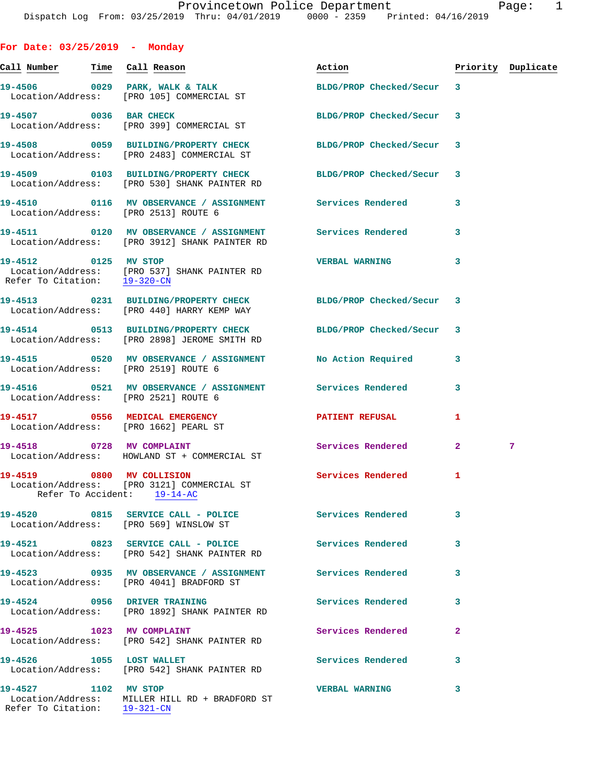| For Date: $03/25/2019$ - Monday                          |                                                                                                                    |                                                                                                                                                                                                                                |                |                    |
|----------------------------------------------------------|--------------------------------------------------------------------------------------------------------------------|--------------------------------------------------------------------------------------------------------------------------------------------------------------------------------------------------------------------------------|----------------|--------------------|
|                                                          |                                                                                                                    | Action and the set of the set of the set of the set of the set of the set of the set of the set of the set of the set of the set of the set of the set of the set of the set of the set of the set of the set of the set of th |                | Priority Duplicate |
|                                                          | 19-4506 0029 PARK, WALK & TALK<br>Location/Address: [PRO 105] COMMERCIAL ST                                        | BLDG/PROP Checked/Secur                                                                                                                                                                                                        | $\mathbf{3}$   |                    |
|                                                          | 19-4507 0036 BAR CHECK<br>Location/Address: [PRO 399] COMMERCIAL ST                                                | BLDG/PROP Checked/Secur                                                                                                                                                                                                        | 3              |                    |
|                                                          | 19-4508 0059 BUILDING/PROPERTY CHECK<br>Location/Address: [PRO 2483] COMMERCIAL ST                                 | BLDG/PROP Checked/Secur                                                                                                                                                                                                        | 3              |                    |
|                                                          | 19-4509 0103 BUILDING/PROPERTY CHECK BLDG/PROP Checked/Secur<br>Location/Address: [PRO 530] SHANK PAINTER RD       |                                                                                                                                                                                                                                | 3              |                    |
| Location/Address: [PRO 2513] ROUTE 6                     | 19-4510 0116 MV OBSERVANCE / ASSIGNMENT Services Rendered                                                          |                                                                                                                                                                                                                                | 3              |                    |
|                                                          | 19-4511 0120 MV OBSERVANCE / ASSIGNMENT Services Rendered<br>Location/Address: [PRO 3912] SHANK PAINTER RD         |                                                                                                                                                                                                                                | 3              |                    |
| 19-4512 0125 MV STOP                                     | Location/Address: [PRO 537] SHANK PAINTER RD<br>Refer To Citation: 19-320-CN                                       | <b>VERBAL WARNING</b>                                                                                                                                                                                                          | 3              |                    |
|                                                          | 19-4513 0231 BUILDING/PROPERTY CHECK<br>Location/Address: [PRO 440] HARRY KEMP WAY                                 | BLDG/PROP Checked/Secur                                                                                                                                                                                                        | 3              |                    |
|                                                          | 19-4514 0513 BUILDING/PROPERTY CHECK<br>Location/Address: [PRO 2898] JEROME SMITH RD                               | BLDG/PROP Checked/Secur                                                                                                                                                                                                        | 3              |                    |
| Location/Address: [PRO 2519] ROUTE 6                     | 19-4515 0520 MV OBSERVANCE / ASSIGNMENT No Action Required                                                         |                                                                                                                                                                                                                                | 3              |                    |
| Location/Address: [PRO 2521] ROUTE 6                     |                                                                                                                    |                                                                                                                                                                                                                                | 3              |                    |
|                                                          | 19-4517 0556 MEDICAL EMERGENCY<br>Location/Address: [PRO 1662] PEARL ST                                            | <b>PATIENT REFUSAL</b>                                                                                                                                                                                                         | 1              |                    |
| 19-4518 0728 MV COMPLAINT                                | Location/Address: HOWLAND ST + COMMERCIAL ST                                                                       | Services Rendered                                                                                                                                                                                                              | $\overline{a}$ | 7                  |
| 19-4519 0800 MV COLLISION<br>Refer To Accident: 19-14-AC | Location/Address: [PRO 3121] COMMERCIAL ST                                                                         | Services Rendered                                                                                                                                                                                                              | 1              |                    |
|                                                          | 19-4520 0815 SERVICE CALL - POLICE<br>Location/Address: [PRO 569] WINSLOW ST                                       | <b>Services Rendered</b>                                                                                                                                                                                                       | 3              |                    |
|                                                          | Location/Address: [PRO 542] SHANK PAINTER RD                                                                       | Services Rendered                                                                                                                                                                                                              | 3              |                    |
|                                                          | 19-4523       0935   MV OBSERVANCE / ASSIGNMENT      Services Rendered<br>Location/Address: [PRO 4041] BRADFORD ST |                                                                                                                                                                                                                                | 3              |                    |
| 19-4524 0956 DRIVER TRAINING                             | Location/Address: [PRO 1892] SHANK PAINTER RD                                                                      | Services Rendered                                                                                                                                                                                                              | 3              |                    |
| 19-4525 1023 MV COMPLAINT                                | Location/Address: [PRO 542] SHANK PAINTER RD                                                                       | Services Rendered                                                                                                                                                                                                              | $\overline{a}$ |                    |
| 19-4526 1055 LOST WALLET                                 | Location/Address: [PRO 542] SHANK PAINTER RD                                                                       | Services Rendered                                                                                                                                                                                                              | 3              |                    |
| 19-4527 1102 MV STOP                                     | Location/Address: MILLER HILL RD + BRADFORD ST                                                                     | <b>VERBAL WARNING</b>                                                                                                                                                                                                          | 3              |                    |

Refer To Citation: 19-321-CN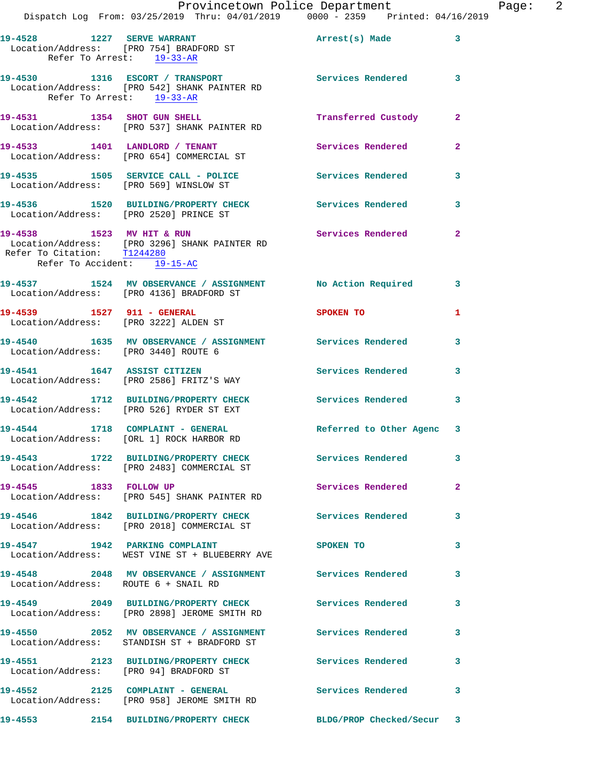|                                                            | Provincetown Police Department<br>Dispatch Log From: 03/25/2019 Thru: 04/01/2019 0000 - 2359 Printed: 04/16/2019 |                         |              |
|------------------------------------------------------------|------------------------------------------------------------------------------------------------------------------|-------------------------|--------------|
| Refer To Arrest: 19-33-AR                                  | 19-4528 1227 SERVE WARRANT<br>Location/Address: [PRO 754] BRADFORD ST                                            | Arrest(s) Made          | 3            |
|                                                            | 19-4530 1316 ESCORT / TRANSPORT<br>Location/Address: [PRO 542] SHANK PAINTER RD<br>Refer To Arrest: 19-33-AR     | Services Rendered       | 3            |
|                                                            | 19-4531 1354 SHOT GUN SHELL<br>Location/Address: [PRO 537] SHANK PAINTER RD                                      | Transferred Custody     | $\mathbf{2}$ |
|                                                            | 19-4533 1401 LANDLORD / TENANT<br>Location/Address: [PRO 654] COMMERCIAL ST                                      | Services Rendered       | $\mathbf{2}$ |
|                                                            | 19-4535 1505 SERVICE CALL - POLICE 3ervices Rendered<br>Location/Address: [PRO 569] WINSLOW ST                   |                         | 3            |
|                                                            | 19-4536 1520 BUILDING/PROPERTY CHECK Services Rendered<br>Location/Address: [PRO 2520] PRINCE ST                 |                         | 3            |
| Refer To Citation: T1244280<br>Refer To Accident: 19-15-AC | 19-4538 1523 MV HIT & RUN<br>Location/Address: [PRO 3296] SHANK PAINTER RD                                       | Services Rendered       | $\mathbf{2}$ |
|                                                            | 19-4537 1524 MV OBSERVANCE / ASSIGNMENT No Action Required<br>Location/Address: [PRO 4136] BRADFORD ST           |                         | 3            |
| 19-4539 1527 911 - GENERAL                                 | Location/Address: [PRO 3222] ALDEN ST                                                                            | SPOKEN TO               | 1            |
| Location/Address: [PRO 3440] ROUTE 6                       | 19-4540 1635 MV OBSERVANCE / ASSIGNMENT Services Rendered                                                        |                         | 3            |
|                                                            | 19-4541 1647 ASSIST CITIZEN<br>Location/Address: [PRO 2586] FRITZ'S WAY                                          | Services Rendered       | 3            |
|                                                            | 19-4542 1712 BUILDING/PROPERTY CHECK<br>Location/Address: [PRO 526] RYDER ST EXT                                 | Services Rendered       | 3            |
|                                                            | 19-4544 1718 COMPLAINT - GENERAL Referred to Other Agenc 3<br>Location/Address: [ORL 1] ROCK HARBOR RD           |                         |              |
|                                                            | 19-4543 1722 BUILDING/PROPERTY CHECK Services Rendered<br>Location/Address: [PRO 2483] COMMERCIAL ST             |                         | 3            |
| 19-4545 1833 FOLLOW UP                                     | Location/Address: [PRO 545] SHANK PAINTER RD                                                                     | Services Rendered       | $\mathbf{2}$ |
|                                                            | 19-4546 1842 BUILDING/PROPERTY CHECK<br>Location/Address: [PRO 2018] COMMERCIAL ST                               | Services Rendered       | 3            |
|                                                            | 19-4547 1942 PARKING COMPLAINT<br>Location/Address: WEST VINE ST + BLUEBERRY AVE                                 | SPOKEN TO               | 3            |
| Location/Address: ROUTE 6 + SNAIL RD                       | 19-4548 2048 MV OBSERVANCE / ASSIGNMENT Services Rendered                                                        |                         | 3            |
|                                                            | 19-4549 2049 BUILDING/PROPERTY CHECK Services Rendered<br>Location/Address: [PRO 2898] JEROME SMITH RD           |                         | 3            |
|                                                            | 19-4550 2052 MV OBSERVANCE / ASSIGNMENT Services Rendered<br>Location/Address: STANDISH ST + BRADFORD ST         |                         | 3            |
|                                                            | 19-4551 2123 BUILDING/PROPERTY CHECK Services Rendered<br>Location/Address: [PRO 94] BRADFORD ST                 |                         | 3            |
|                                                            | 19-4552 2125 COMPLAINT - GENERAL<br>Location/Address: [PRO 958] JEROME SMITH RD                                  | Services Rendered       | 3            |
|                                                            | 19-4553 2154 BUILDING/PROPERTY CHECK                                                                             | BLDG/PROP Checked/Secur | 3            |

Page: 2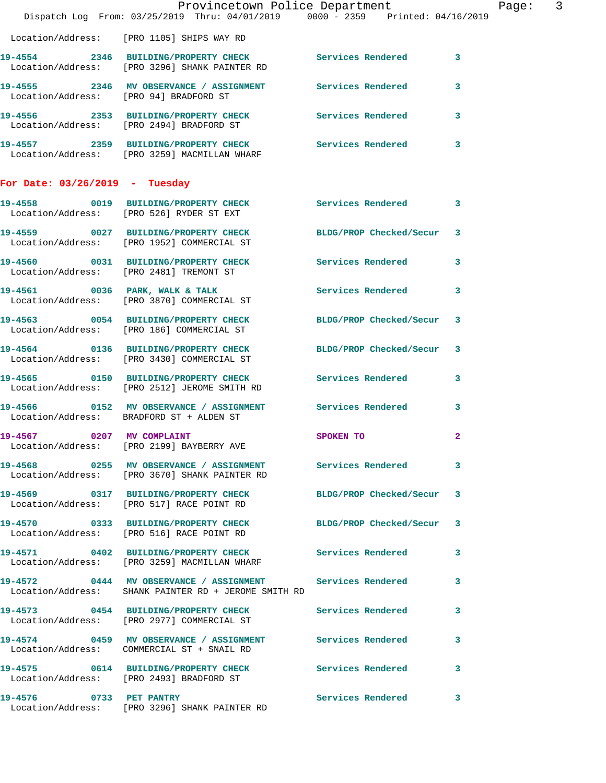|                                        | Provincetown Police Department                                                                                    |                            |                | Page: 3 |  |
|----------------------------------------|-------------------------------------------------------------------------------------------------------------------|----------------------------|----------------|---------|--|
|                                        | Dispatch Log From: 03/25/2019 Thru: 04/01/2019 0000 - 2359 Printed: 04/16/2019                                    |                            |                |         |  |
|                                        | Location/Address: [PRO 1105] SHIPS WAY RD                                                                         |                            |                |         |  |
|                                        | 19-4554 2346 BUILDING/PROPERTY CHECK Services Rendered 3<br>Location/Address: [PRO 3296] SHANK PAINTER RD         |                            |                |         |  |
| Location/Address: [PRO 94] BRADFORD ST | 19-4555 2346 MV OBSERVANCE / ASSIGNMENT Services Rendered                                                         |                            | 3              |         |  |
|                                        | 19-4556 2353 BUILDING/PROPERTY CHECK Services Rendered 3<br>Location/Address: [PRO 2494] BRADFORD ST              |                            |                |         |  |
|                                        | 19-4557 2359 BUILDING/PROPERTY CHECK Services Rendered 3<br>Location/Address: [PRO 3259] MACMILLAN WHARF          |                            |                |         |  |
| For Date: $03/26/2019$ - Tuesday       |                                                                                                                   |                            |                |         |  |
|                                        | 19-4558 0019 BUILDING/PROPERTY CHECK Services Rendered 3<br>Location/Address: [PRO 526] RYDER ST EXT              |                            |                |         |  |
|                                        | 19-4559 0027 BUILDING/PROPERTY CHECK BLDG/PROP Checked/Secur 3<br>Location/Address: [PRO 1952] COMMERCIAL ST      |                            |                |         |  |
|                                        | 19-4560 0031 BUILDING/PROPERTY CHECK Services Rendered<br>Location/Address: [PRO 2481] TREMONT ST                 |                            | 3              |         |  |
|                                        | 19-4561 0036 PARK, WALK & TALK<br>Location/Address: [PRO 3870] COMMERCIAL ST                                      | <b>Services Rendered</b>   | 3              |         |  |
|                                        | 19-4563 0054 BUILDING/PROPERTY CHECK<br>Location/Address: [PRO 186] COMMERCIAL ST                                 | BLDG/PROP Checked/Secur 3  |                |         |  |
|                                        | 19-4564 0136 BUILDING/PROPERTY CHECK<br>Location/Address: [PRO 3430] COMMERCIAL ST                                | BLDG/PROP Checked/Secur 3  |                |         |  |
|                                        | 19-4565 0150 BUILDING/PROPERTY CHECK Services Rendered 3<br>Location/Address: [PRO 2512] JEROME SMITH RD          |                            |                |         |  |
|                                        | 19-4566 6 0152 MV OBSERVANCE / ASSIGNMENT Services Rendered<br>Location/Address: BRADFORD ST + ALDEN ST           |                            | 3              |         |  |
| 19-4567 0207 MV COMPLAINT              | Location/Address: [PRO 2199] BAYBERRY AVE                                                                         | SPOKEN TO                  | $\overline{2}$ |         |  |
|                                        | 19-4568 0255 MV OBSERVANCE / ASSIGNMENT Services Rendered<br>Location/Address: [PRO 3670] SHANK PAINTER RD        |                            | 3              |         |  |
|                                        | 19-4569 0317 BUILDING/PROPERTY CHECK BLDG/PROP Checked/Secur 3<br>Location/Address: [PRO 517] RACE POINT RD       |                            |                |         |  |
|                                        | 19-4570 0333 BUILDING/PROPERTY CHECK BLDG/PROP Checked/Secur 3<br>Location/Address: [PRO 516] RACE POINT RD       |                            |                |         |  |
|                                        | 19-4571 0402 BUILDING/PROPERTY CHECK Services Rendered<br>Location/Address: [PRO 3259] MACMILLAN WHARF            |                            | 3              |         |  |
|                                        | 19-4572 0444 MV OBSERVANCE / ASSIGNMENT Services Rendered<br>Location/Address: SHANK PAINTER RD + JEROME SMITH RD |                            | 3              |         |  |
|                                        | 19-4573 0454 BUILDING/PROPERTY CHECK Services Rendered<br>Location/Address: [PRO 2977] COMMERCIAL ST              |                            | 3              |         |  |
|                                        | 19-4574 0459 MV OBSERVANCE / ASSIGNMENT Services Rendered<br>Location/Address: COMMERCIAL ST + SNAIL RD           |                            | 3              |         |  |
|                                        | 19-4575 0614 BUILDING/PROPERTY CHECK Services Rendered<br>Location/Address: [PRO 2493] BRADFORD ST                |                            | 3              |         |  |
| 19-4576 0733 PET PANTRY                | Location/Address: [PRO 3296] SHANK PAINTER RD                                                                     | <b>Services Rendered</b> 3 |                |         |  |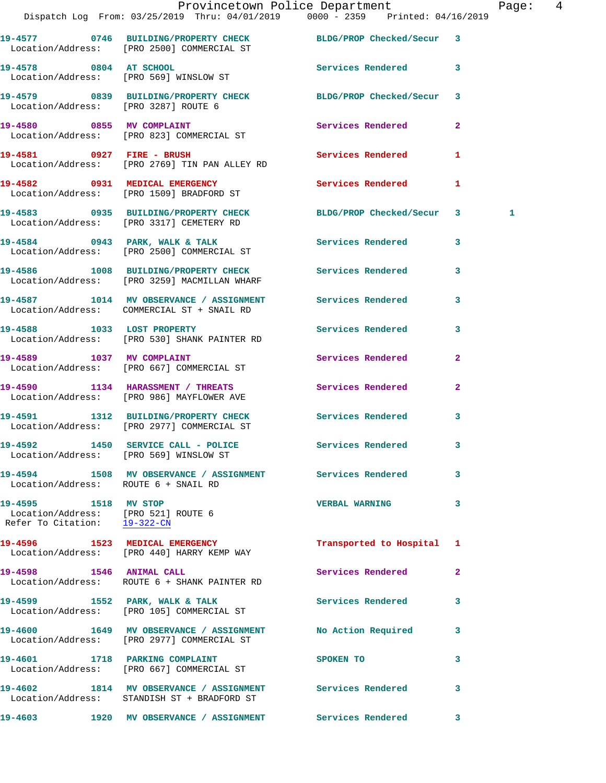|                                                                                             | Dispatch Log From: 03/25/2019 Thru: 04/01/2019 0000 - 2359 Printed: 04/16/2019                               | Provincetown Police Department |              | Page: 4 |  |
|---------------------------------------------------------------------------------------------|--------------------------------------------------------------------------------------------------------------|--------------------------------|--------------|---------|--|
|                                                                                             | 19-4577 0746 BUILDING/PROPERTY CHECK BLDG/PROP Checked/Secur 3<br>Location/Address: [PRO 2500] COMMERCIAL ST |                                |              |         |  |
| 19-4578 0804 AT SCHOOL                                                                      | Location/Address: [PRO 569] WINSLOW ST                                                                       | Services Rendered 3            |              |         |  |
|                                                                                             | 19-4579 0839 BUILDING/PROPERTY CHECK BLDG/PROP Checked/Secur 3<br>Location/Address: [PRO 3287] ROUTE 6       |                                |              |         |  |
|                                                                                             | 19-4580 0855 MV COMPLAINT<br>Location/Address: [PRO 823] COMMERCIAL ST                                       | Services Rendered              | $\mathbf{2}$ |         |  |
|                                                                                             | 19-4581 0927 FIRE - BRUSH<br>Location/Address: [PRO 2769] TIN PAN ALLEY RD                                   | Services Rendered 1            |              |         |  |
|                                                                                             | 19-4582 0931 MEDICAL EMERGENCY<br>Location/Address: [PRO 1509] BRADFORD ST                                   | Services Rendered 1            |              |         |  |
|                                                                                             | 19-4583 0935 BUILDING/PROPERTY CHECK BLDG/PROP Checked/Secur 3<br>Location/Address: [PRO 3317] CEMETERY RD   |                                |              | 1       |  |
|                                                                                             | 19-4584 0943 PARK, WALK & TALK 6 Services Rendered 3<br>Location/Address: [PRO 2500] COMMERCIAL ST           |                                |              |         |  |
|                                                                                             | 19-4586 1008 BUILDING/PROPERTY CHECK Services Rendered 3<br>Location/Address: [PRO 3259] MACMILLAN WHARF     |                                |              |         |  |
|                                                                                             | 19-4587 1014 MV OBSERVANCE / ASSIGNMENT Services Rendered<br>Location/Address: COMMERCIAL ST + SNAIL RD      |                                | 3            |         |  |
|                                                                                             | 19-4588 1033 LOST PROPERTY<br>Location/Address: [PRO 530] SHANK PAINTER RD                                   | Services Rendered 3            |              |         |  |
|                                                                                             | 19-4589 1037 MV COMPLAINT<br>Location/Address: [PRO 667] COMMERCIAL ST                                       | Services Rendered              | $\mathbf{2}$ |         |  |
|                                                                                             | 19-4590 1134 HARASSMENT / THREATS<br>Location/Address: [PRO 986] MAYFLOWER AVE                               | Services Rendered              | $\mathbf{2}$ |         |  |
|                                                                                             | 19-4591 1312 BUILDING/PROPERTY CHECK Services Rendered 3<br>Location/Address: [PRO 2977] COMMERCIAL ST       |                                |              |         |  |
| Location/Address: [PRO 569] WINSLOW ST                                                      | 19-4592 1450 SERVICE CALL - POLICE                                                                           | <b>Services Rendered</b>       |              |         |  |
| Location/Address: ROUTE 6 + SNAIL RD                                                        | 19-4594 1508 MV OBSERVANCE / ASSIGNMENT Services Rendered 3                                                  |                                |              |         |  |
| 19-4595 1518 MV STOP<br>Location/Address: [PRO 521] ROUTE 6<br>Refer To Citation: 19-322-CN |                                                                                                              | VERBAL WARNING 3               |              |         |  |
|                                                                                             | 19-4596 1523 MEDICAL EMERGENCY<br>Location/Address: [PRO 440] HARRY KEMP WAY                                 | Transported to Hospital 1      |              |         |  |
| 19-4598 1546 ANIMAL CALL                                                                    | Location/Address: ROUTE 6 + SHANK PAINTER RD                                                                 | Services Rendered 2            |              |         |  |
|                                                                                             |                                                                                                              | Services Rendered              | 3            |         |  |
|                                                                                             | 19-4600 1649 MV OBSERVANCE / ASSIGNMENT No Action Required<br>Location/Address: [PRO 2977] COMMERCIAL ST     |                                | 3            |         |  |
|                                                                                             | 19-4601 1718 PARKING COMPLAINT<br>Location/Address: [PRO 667] COMMERCIAL ST                                  | SPOKEN TO                      | 3            |         |  |
|                                                                                             | 19-4602 1814 MV OBSERVANCE / ASSIGNMENT Services Rendered<br>Location/Address: STANDISH ST + BRADFORD ST     |                                | $\mathbf{3}$ |         |  |
|                                                                                             | 19-4603 1920 MV OBSERVANCE / ASSIGNMENT Services Rendered 3                                                  |                                |              |         |  |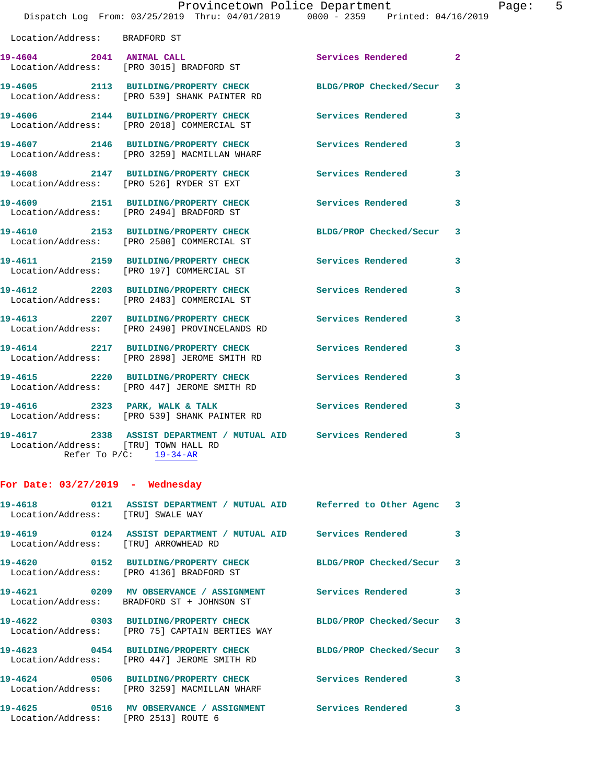|                                                                 |                                                                                                                | Provincetown Police Department | Page: 5        |  |
|-----------------------------------------------------------------|----------------------------------------------------------------------------------------------------------------|--------------------------------|----------------|--|
|                                                                 | Dispatch Log From: 03/25/2019 Thru: 04/01/2019 0000 - 2359 Printed: 04/16/2019                                 |                                |                |  |
| Location/Address: BRADFORD ST                                   |                                                                                                                |                                |                |  |
|                                                                 | 19-4604 2041 ANIMAL CALL<br>Location/Address: [PRO 3015] BRADFORD ST                                           | Services Rendered              | $\overline{2}$ |  |
|                                                                 | 19-4605 2113 BUILDING/PROPERTY CHECK BLDG/PROP Checked/Secur 3<br>Location/Address: [PRO 539] SHANK PAINTER RD |                                |                |  |
|                                                                 | 19-4606 2144 BUILDING/PROPERTY CHECK<br>Location/Address: [PRO 2018] COMMERCIAL ST                             | Services Rendered              | 3              |  |
|                                                                 | 19-4607 2146 BUILDING/PROPERTY CHECK<br>Location/Address: [PRO 3259] MACMILLAN WHARF                           | <b>Services Rendered</b>       | 3              |  |
|                                                                 | 19-4608 2147 BUILDING/PROPERTY CHECK Services Rendered<br>Location/Address: [PRO 526] RYDER ST EXT             |                                | 3              |  |
|                                                                 | 19-4609 2151 BUILDING/PROPERTY CHECK<br>Location/Address: [PRO 2494] BRADFORD ST                               | <b>Services Rendered</b>       | 3              |  |
|                                                                 | 19-4610 2153 BUILDING/PROPERTY CHECK<br>Location/Address: [PRO 2500] COMMERCIAL ST                             | BLDG/PROP Checked/Secur        | 3              |  |
|                                                                 |                                                                                                                | Services Rendered              | 3              |  |
|                                                                 | 19-4612 2203 BUILDING/PROPERTY CHECK<br>Location/Address: [PRO 2483] COMMERCIAL ST                             | Services Rendered              | 3              |  |
|                                                                 | 19-4613 2207 BUILDING/PROPERTY CHECK<br>Location/Address: [PRO 2490] PROVINCELANDS RD                          | Services Rendered              | 3              |  |
|                                                                 | 19-4614 2217 BUILDING/PROPERTY CHECK<br>Location/Address: [PRO 2898] JEROME SMITH RD                           | <b>Services Rendered</b>       | 3              |  |
|                                                                 | 19-4615 2220 BUILDING/PROPERTY CHECK<br>Location/Address: [PRO 447] JEROME SMITH RD                            | <b>Services Rendered</b>       | 3              |  |
|                                                                 | 19-4616 2323 PARK, WALK & TALK<br>Location/Address: [PRO 539] SHANK PAINTER RD                                 | <b>Services Rendered</b>       | 3              |  |
| $\mathbf{r}$ and $\mathbf{r}$ and $\mathbf{r}$ and $\mathbf{r}$ | 19-4617 2338 ASSIST DEPARTMENT / MUTUAL AID Services Rendered                                                  |                                | 3              |  |

 Location/Address: [TRU] TOWN HALL RD Refer To P/C: 19-34-AR

## **For Date: 03/27/2019 - Wednesday**

| Location/Address: [TRU] SWALE WAY | 19-4618       0121  ASSIST DEPARTMENT / MUTUAL AID    Referred to Other Agenc  3 |                           |                         |
|-----------------------------------|----------------------------------------------------------------------------------|---------------------------|-------------------------|
| Location/Address:                 | [TRU] ARROWHEAD RD                                                               |                           | $\overline{\mathbf{3}}$ |
|                                   | Location/Address: [PRO 4136] BRADFORD ST                                         | BLDG/PROP Checked/Secur 3 |                         |
|                                   | Location/Address: BRADFORD ST + JOHNSON ST                                       |                           | $\mathbf{3}$            |
|                                   | Location/Address: [PRO 75] CAPTAIN BERTIES WAY                                   | BLDG/PROP Checked/Secur 3 |                         |
| Location/Address:                 | 19-4623  0454 BUILDING/PROPERTY CHECK<br>[PRO 447] JEROME SMITH RD               | BLDG/PROP Checked/Secur 3 |                         |
|                                   | Location/Address: [PRO 3259] MACMILLAN WHARF                                     |                           | $\overline{3}$          |
|                                   | Location/Address: [PRO 2513] ROUTE 6                                             |                           | 3                       |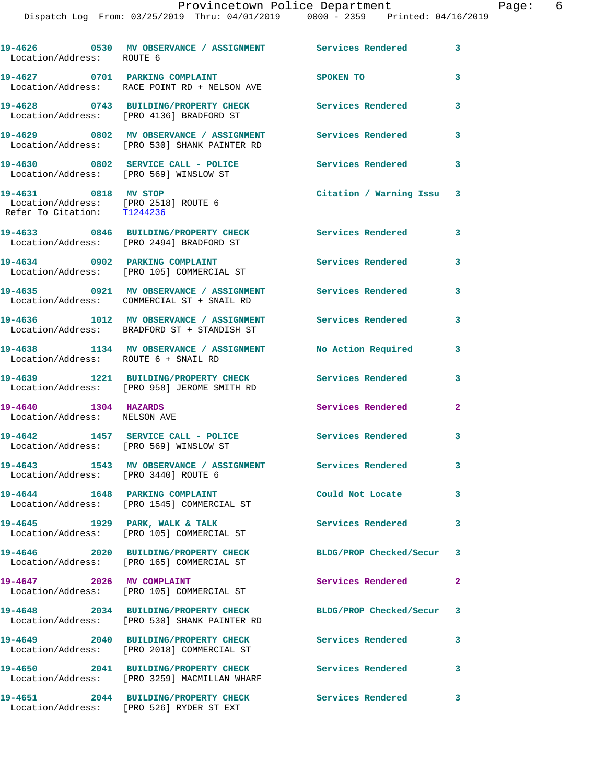**19-4626 0530 MV OBSERVANCE / ASSIGNMENT Services Rendered 3**  Location/Address: ROUTE 6 **19-4627 0701 PARKING COMPLAINT SPOKEN TO 3**  Location/Address: RACE POINT RD + NELSON AVE **19-4628 0743 BUILDING/PROPERTY CHECK Services Rendered 3**  Location/Address: [PRO 4136] BRADFORD ST **19-4629 0802 MV OBSERVANCE / ASSIGNMENT Services Rendered 3**  Location/Address: [PRO 530] SHANK PAINTER RD **19-4630 0802 SERVICE CALL - POLICE Services Rendered 3**  Location/Address: [PRO 569] WINSLOW ST **19-4631 0818 MV STOP Citation / Warning Issu 3**  Location/Address: [PRO 2518] ROUTE 6 Refer To Citation: T1244236 **19-4633 0846 BUILDING/PROPERTY CHECK Services Rendered 3**  Location/Address: [PRO 2494] BRADFORD ST 19-4634 0902 PARKING COMPLAINT Services Rendered 3 Location/Address: [PRO 105] COMMERCIAL ST **19-4635 0921 MV OBSERVANCE / ASSIGNMENT Services Rendered 3**  Location/Address: COMMERCIAL ST + SNAIL RD **19-4636 1012 MV OBSERVANCE / ASSIGNMENT Services Rendered 3**  Location/Address: BRADFORD ST + STANDISH ST **19-4638 1134 MV OBSERVANCE / ASSIGNMENT No Action Required 3**  Location/Address: ROUTE 6 + SNAIL RD **19-4639 1221 BUILDING/PROPERTY CHECK Services Rendered 3**  Location/Address: [PRO 958] JEROME SMITH RD **19-4640 1304 HAZARDS Services Rendered 2**  Location/Address: NELSON AVE **19-4642 1457 SERVICE CALL - POLICE Services Rendered 3**  Location/Address: [PRO 569] WINSLOW ST **19-4643 1543 MV OBSERVANCE / ASSIGNMENT Services Rendered 3**  Location/Address: [PRO 3440] ROUTE 6 **19-4644 1648 PARKING COMPLAINT Could Not Locate 3**  Location/Address: [PRO 1545] COMMERCIAL ST **19-4645 1929 PARK, WALK & TALK Services Rendered 3**  Location/Address: [PRO 105] COMMERCIAL ST **19-4646 2020 BUILDING/PROPERTY CHECK BLDG/PROP Checked/Secur 3**  Location/Address: [PRO 165] COMMERCIAL ST **19-4647 2026 MV COMPLAINT Services Rendered 2**  Location/Address: [PRO 105] COMMERCIAL ST **19-4648 2034 BUILDING/PROPERTY CHECK BLDG/PROP Checked/Secur 3**  Location/Address: [PRO 530] SHANK PAINTER RD **19-4649 2040 BUILDING/PROPERTY CHECK Services Rendered 3**  Location/Address: [PRO 2018] COMMERCIAL ST **19-4650 2041 BUILDING/PROPERTY CHECK Services Rendered 3**  Location/Address: [PRO 3259] MACMILLAN WHARF **19-4651 2044 BUILDING/PROPERTY CHECK Services Rendered 3** 

Location/Address: [PRO 526] RYDER ST EXT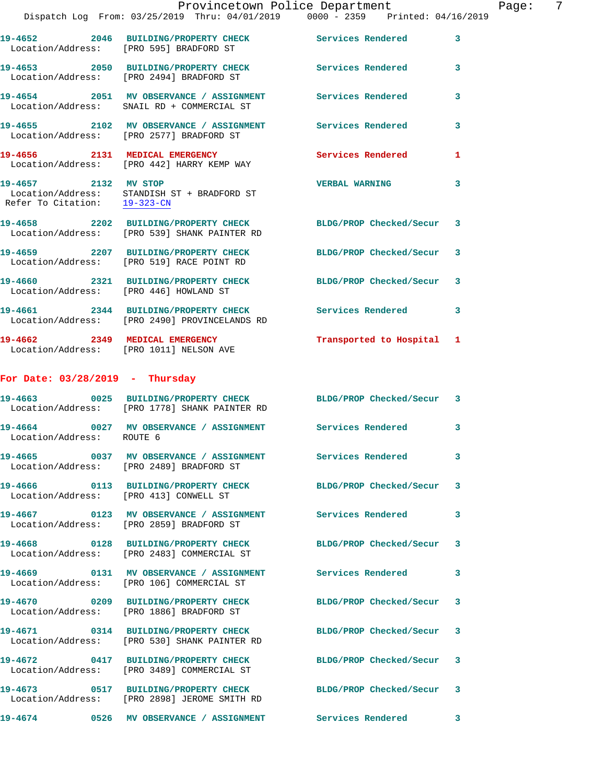|                                   | Provincetown Police Department                                                                                  |                         |   |
|-----------------------------------|-----------------------------------------------------------------------------------------------------------------|-------------------------|---|
|                                   | Dispatch Log From: 03/25/2019 Thru: 04/01/2019 0000 - 2359 Printed: 04/16/2019                                  |                         |   |
|                                   | 19-4652 2046 BUILDING/PROPERTY CHECK Services Rendered<br>Location/Address: [PRO 595] BRADFORD ST               |                         | 3 |
|                                   | 19-4653 2050 BUILDING/PROPERTY CHECK<br>Location/Address: [PRO 2494] BRADFORD ST                                | Services Rendered       | 3 |
|                                   | 19-4654 2051 MV OBSERVANCE / ASSIGNMENT Services Rendered<br>Location/Address: SNAIL RD + COMMERCIAL ST         |                         | 3 |
|                                   | 19-4655 2102 MV OBSERVANCE / ASSIGNMENT Services Rendered<br>Location/Address: [PRO 2577] BRADFORD ST           |                         | 3 |
|                                   | 19-4656 2131 MEDICAL EMERGENCY Services Rendered<br>Location/Address: [PRO 442] HARRY KEMP WAY                  |                         | 1 |
| 19-4657 2132 MV STOP              | Location/Address: STANDISH ST + BRADFORD ST<br>Refer To Citation: $\frac{19-323-CN}{\pi}$                       | <b>VERBAL WARNING</b>   | 3 |
|                                   | 19-4658 2202 BUILDING/PROPERTY CHECK BLDG/PROP Checked/Secur<br>Location/Address: [PRO 539] SHANK PAINTER RD    |                         | 3 |
|                                   | 19-4659 2207 BUILDING/PROPERTY CHECK BLDG/PROP Checked/Secur<br>Location/Address: [PRO 519] RACE POINT RD       |                         | 3 |
|                                   | 19-4660 2321 BUILDING/PROPERTY CHECK<br>Location/Address: [PRO 446] HOWLAND ST                                  | BLDG/PROP Checked/Secur | 3 |
|                                   | 19-4661 2344 BUILDING/PROPERTY CHECK Services Rendered<br>Location/Address: [PRO 2490] PROVINCELANDS RD         |                         | 3 |
|                                   | 19-4662 2349 MEDICAL EMERGENCY<br>Location/Address: [PRO 1011] NELSON AVE                                       | Transported to Hospital | 1 |
| For Date: $03/28/2019$ - Thursday |                                                                                                                 |                         |   |
|                                   | 19-4663 0025 BUILDING/PROPERTY CHECK BLDG/PROP Checked/Secur 3<br>Location/Address: [PRO 1778] SHANK PAINTER RD |                         |   |
| Location/Address: ROUTE 6         | 19-4664 6027 MV OBSERVANCE / ASSIGNMENT Services Rendered                                                       |                         |   |
|                                   | 19-4665 0037 MV OBSERVANCE / ASSIGNMENT Services Rendered<br>Location/Address: [PRO 2489] BRADFORD ST           |                         | 3 |
|                                   | 19-4666 0113 BUILDING/PROPERTY CHECK<br>Location/Address: [PRO 413] CONWELL ST                                  | BLDG/PROP Checked/Secur | 3 |
|                                   | 19-4667  0123 MV OBSERVANCE / ASSIGNMENT Services Rendered<br>Location/Address: [PRO 2859] BRADFORD ST          |                         | 3 |
|                                   | 19-4668 0128 BUILDING/PROPERTY CHECK<br>Location/Address: [PRO 2483] COMMERCIAL ST                              | BLDG/PROP Checked/Secur | 3 |
|                                   | 19-4669 0131 MV OBSERVANCE / ASSIGNMENT Services Rendered<br>Location/Address: [PRO 106] COMMERCIAL ST          |                         | 3 |

**19-4670 0209 BUILDING/PROPERTY CHECK BLDG/PROP Checked/Secur 3**  Location/Address: [PRO 1886] BRADFORD ST

**19-4671 0314 BUILDING/PROPERTY CHECK BLDG/PROP Checked/Secur 3**  Location/Address: [PRO 530] SHANK PAINTER RD

**19-4672 0417 BUILDING/PROPERTY CHECK BLDG/PROP Checked/Secur 3**  Location/Address: [PRO 3489] COMMERCIAL ST

**19-4673 0517 BUILDING/PROPERTY CHECK BLDG/PROP Checked/Secur 3**  Location/Address: [PRO 2898] JEROME SMITH RD

**19-4674 0526 MV OBSERVANCE / ASSIGNMENT Services Rendered 3** 

Page:  $7^{1019}$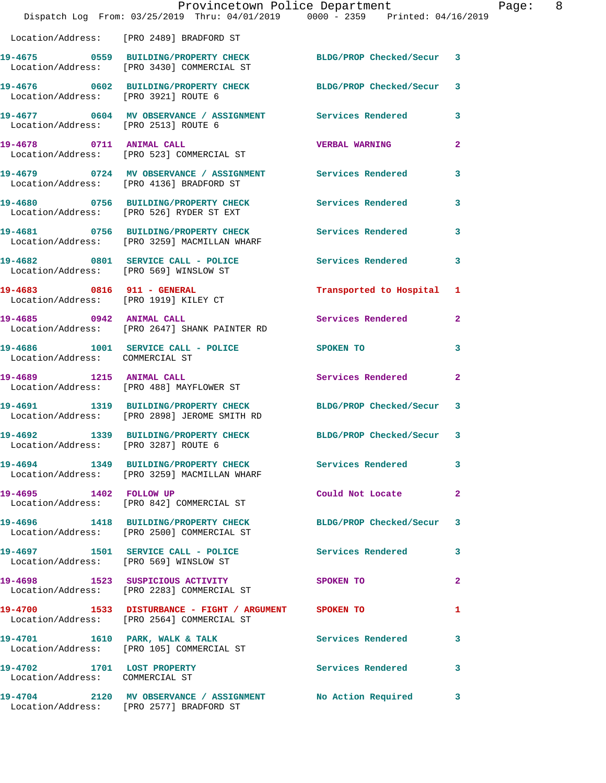|                                                               | Dispatch Log From: 03/25/2019 Thru: 04/01/2019 0000 - 2359 Printed: 04/16/2019                                 | Provincetown Police Department | Page: 8      |  |
|---------------------------------------------------------------|----------------------------------------------------------------------------------------------------------------|--------------------------------|--------------|--|
|                                                               | Location/Address: [PRO 2489] BRADFORD ST                                                                       |                                |              |  |
|                                                               | 19-4675 0559 BUILDING/PROPERTY CHECK BLDG/PROP Checked/Secur 3<br>Location/Address: [PRO 3430] COMMERCIAL ST   |                                |              |  |
| Location/Address: [PRO 3921] ROUTE 6                          | 19-4676 0602 BUILDING/PROPERTY CHECK BLDG/PROP Checked/Secur 3                                                 |                                |              |  |
| Location/Address: [PRO 2513] ROUTE 6                          | 19-4677 0604 MV OBSERVANCE / ASSIGNMENT Services Rendered 3                                                    |                                |              |  |
|                                                               | 19-4678 0711 ANIMAL CALL<br>Location/Address: [PRO 523] COMMERCIAL ST                                          | <b>VERBAL WARNING</b>          | $\mathbf{2}$ |  |
|                                                               | 19-4679 0724 MV OBSERVANCE / ASSIGNMENT Services Rendered<br>Location/Address: [PRO 4136] BRADFORD ST          |                                | 3            |  |
|                                                               | 19-4680 0756 BUILDING/PROPERTY CHECK Services Rendered<br>Location/Address: [PRO 526] RYDER ST EXT             |                                | 3            |  |
|                                                               | 19-4681 0756 BUILDING/PROPERTY CHECK Services Rendered<br>Location/Address: [PRO 3259] MACMILLAN WHARF         |                                | 3            |  |
|                                                               | 19-4682 0801 SERVICE CALL - POLICE<br>Location/Address: [PRO 569] WINSLOW ST                                   | Services Rendered              | 3            |  |
|                                                               | 19-4683 0816 911 - GENERAL<br>Location/Address: [PRO 1919] KILEY CT                                            | Transported to Hospital 1      |              |  |
|                                                               | 19-4685 0942 ANIMAL CALL<br>Location/Address: [PRO 2647] SHANK PAINTER RD                                      | Services Rendered              | $\mathbf{2}$ |  |
| Location/Address: COMMERCIAL ST                               | 19-4686 1001 SERVICE CALL - POLICE SPOKEN TO                                                                   |                                | 3            |  |
|                                                               | 19-4689 1215 ANIMAL CALL<br>Location/Address: [PRO 488] MAYFLOWER ST                                           | Services Rendered              | $\mathbf{2}$ |  |
|                                                               | 19-4691 1319 BUILDING/PROPERTY CHECK BLDG/PROP Checked/Secur 3<br>Location/Address: [PRO 2898] JEROME SMITH RD |                                |              |  |
| Location/Address: [PRO 3287] ROUTE 6                          | 19-4692 1339 BUILDING/PROPERTY CHECK BLDG/PROP Checked/Secur 3                                                 |                                |              |  |
|                                                               | 19-4694 1349 BUILDING/PROPERTY CHECK Services Rendered<br>Location/Address: [PRO 3259] MACMILLAN WHARF         |                                | 3            |  |
|                                                               | 19-4695 1402 FOLLOW UP<br>Location/Address: [PRO 842] COMMERCIAL ST                                            | Could Not Locate               | 2            |  |
|                                                               | 19-4696 1418 BUILDING/PROPERTY CHECK BLDG/PROP Checked/Secur 3<br>Location/Address: [PRO 2500] COMMERCIAL ST   |                                |              |  |
|                                                               | 19-4697 1501 SERVICE CALL - POLICE<br>  Location/Address: [PRO 569] WINSLOW ST                                 | <b>Services Rendered</b>       | 3            |  |
|                                                               | 19-4698 1523 SUSPICIOUS ACTIVITY<br>Location/Address: [PRO 2283] COMMERCIAL ST                                 | SPOKEN TO                      | 2            |  |
|                                                               | 19-4700 1533 DISTURBANCE - FIGHT / ARGUMENT SPOKEN TO<br>Location/Address: [PRO 2564] COMMERCIAL ST            |                                | 1            |  |
|                                                               | 19-4701 1610 PARK, WALK & TALK<br>Location/Address: [PRO 105] COMMERCIAL ST                                    | Services Rendered              | 3            |  |
| 19-4702 1701 LOST PROPERTY<br>Location/Address: COMMERCIAL ST |                                                                                                                | Services Rendered 3            |              |  |
|                                                               | 19-4704 2120 MV OBSERVANCE / ASSIGNMENT No Action Required<br>Location/Address: [PRO 2577] BRADFORD ST         |                                | 3            |  |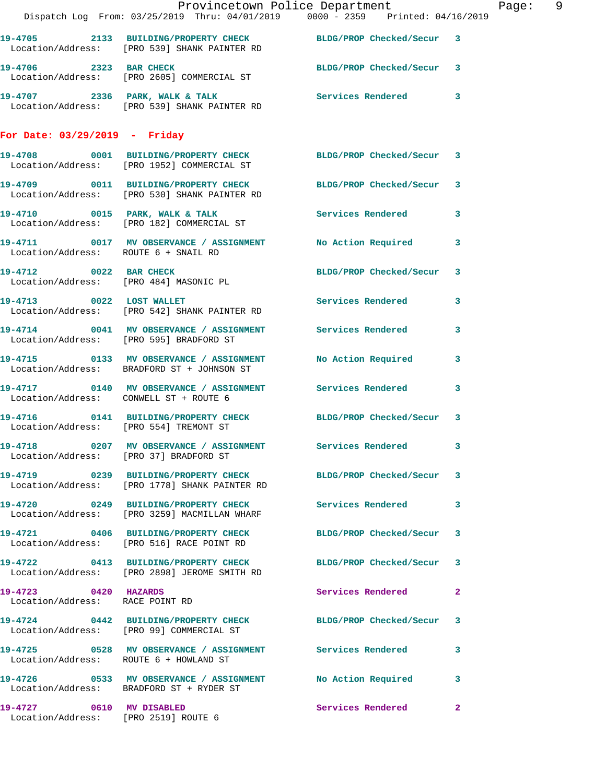|                                                         |                                                                                                                       | Provincetown Police Department | Page: 9 |
|---------------------------------------------------------|-----------------------------------------------------------------------------------------------------------------------|--------------------------------|---------|
|                                                         | Dispatch Log From: 03/25/2019 Thru: 04/01/2019 0000 - 2359 Printed: 04/16/2019                                        |                                |         |
|                                                         | 19-4705 2133 BUILDING/PROPERTY CHECK BLDG/PROP Checked/Secur 3<br>Location/Address: [PRO 539] SHANK PAINTER RD        |                                |         |
|                                                         | 19-4706 2323 BAR CHECK BLDG/PROP Checked/Secur 3<br>Location/Address: [PRO 2605] COMMERCIAL ST                        |                                |         |
|                                                         | 19-4707 2336 PARK, WALK & TALK SERVICES Rendered 3<br>Location/Address: [PRO 539] SHANK PAINTER RD                    |                                |         |
| For Date: $03/29/2019$ - Friday                         |                                                                                                                       |                                |         |
|                                                         | 19-4708 0001 BUILDING/PROPERTY CHECK BLDG/PROP Checked/Secur 3<br>Location/Address: [PRO 1952] COMMERCIAL ST          |                                |         |
|                                                         | 19-4709 0011 BUILDING/PROPERTY CHECK BLDG/PROP Checked/Secur 3<br>Location/Address: [PRO 530] SHANK PAINTER RD        |                                |         |
|                                                         | 19-4710 0015 PARK, WALK & TALK ST Services Rendered 3<br>Location/Address: [PRO 182] COMMERCIAL ST                    |                                |         |
|                                                         | 19-4711 0017 MV OBSERVANCE / ASSIGNMENT No Action Required 3<br>Location/Address: ROUTE 6 + SNAIL RD                  |                                |         |
|                                                         | 19-4712 0022 BAR CHECK<br>Location/Address: [PRO 484] MASONIC PL                                                      | BLDG/PROP Checked/Secur 3      |         |
|                                                         | 19-4713 0022 LOST WALLET<br>Location/Address: [PRO 542] SHANK PAINTER RD                                              | Services Rendered 3            |         |
|                                                         | 19-4714 0041 MV OBSERVANCE / ASSIGNMENT Services Rendered 3<br>Location/Address: [PRO 595] BRADFORD ST                |                                |         |
|                                                         | 19-4715 0133 MV OBSERVANCE / ASSIGNMENT No Action Required 3<br>Location/Address: BRADFORD ST + JOHNSON ST            |                                |         |
|                                                         | 19-4717 0140 MV OBSERVANCE / ASSIGNMENT Services Rendered 3<br>Location/Address: CONWELL ST + ROUTE 6                 |                                |         |
| Location/Address: [PRO 554] TREMONT ST                  | 19-4716  0141 BUILDING/PROPERTY CHECK BLDG/PROP Checked/Secur 3                                                       |                                |         |
|                                                         | 19-4718 0207 MV OBSERVANCE / ASSIGNMENT Services Rendered 3<br>Location/Address: [PRO 37] BRADFORD ST                 |                                |         |
|                                                         | 19-4719 		 0239 BUILDING/PROPERTY CHECK 		 BLDG/PROP Checked/Secur 3<br>Location/Address: [PRO 1778] SHANK PAINTER RD |                                |         |
|                                                         | Location/Address: [PRO 3259] MACMILLAN WHARF                                                                          |                                |         |
|                                                         | 19-4721 0406 BUILDING/PROPERTY CHECK BLDG/PROP Checked/Secur 3<br>Location/Address: [PRO 516] RACE POINT RD           |                                |         |
|                                                         | 19-4722 0413 BUILDING/PROPERTY CHECK BLDG/PROP Checked/Secur 3<br>Location/Address: [PRO 2898] JEROME SMITH RD        |                                |         |
| 19-4723 0420 HAZARDS<br>Location/Address: RACE POINT RD |                                                                                                                       | Services Rendered 2            |         |
|                                                         | 19-4724 0442 BUILDING/PROPERTY CHECK BLDG/PROP Checked/Secur 3<br>Location/Address: [PRO 99] COMMERCIAL ST            |                                |         |
|                                                         | 19-4725 		 0528 MV OBSERVANCE / ASSIGNMENT Services Rendered 3<br>Location/Address: ROUTE 6 + HOWLAND ST              |                                |         |
|                                                         | 19-4726 0533 MV OBSERVANCE / ASSIGNMENT No Action Required 3<br>Location/Address: BRADFORD ST + RYDER ST              |                                |         |
| Location/Address: [PRO 2519] ROUTE 6                    | 19-4727 0610 MV DISABLED                                                                                              | Services Rendered 2            |         |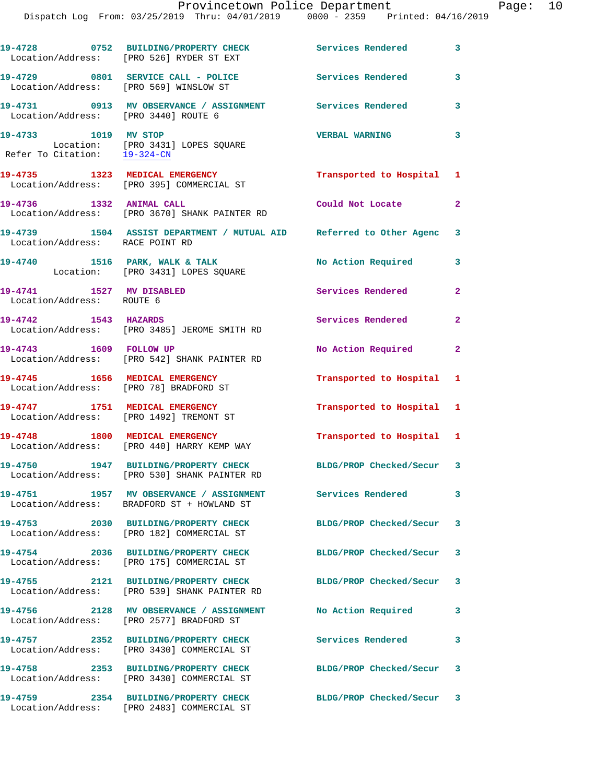|                                                       | 19-4728 0752 BUILDING/PROPERTY CHECK<br>Location/Address: [PRO 526] RYDER ST EXT                                                        | Services Rendered         | $\overline{\phantom{a}}$ 3 |
|-------------------------------------------------------|-----------------------------------------------------------------------------------------------------------------------------------------|---------------------------|----------------------------|
| Location/Address: [PRO 569] WINSLOW ST                | 19-4729 0801 SERVICE CALL - POLICE                                                                                                      | <b>Services Rendered</b>  | 3                          |
| Location/Address: [PRO 3440] ROUTE 6                  | 19-4731 0913 MV OBSERVANCE / ASSIGNMENT Services Rendered                                                                               |                           | $\overline{\phantom{a}}$ 3 |
| 19-4733 1019 MV STOP                                  | $\begin{tabular}{ll} \textbf{Location:} & [PRO 3431] LOPES SQUARE \\ \textbf{Refer To Citation:} & \underline{19-324-CN} \end{tabular}$ | <b>VERBAL WARNING</b>     | 3                          |
|                                                       | 19-4735 1323 MEDICAL EMERGENCY<br>Location/Address: [PRO 395] COMMERCIAL ST                                                             | Transported to Hospital 1 |                            |
|                                                       | 19-4736 1332 ANIMAL CALL<br>Location/Address: [PRO 3670] SHANK PAINTER RD                                                               | Could Not Locate          | $\mathbf{2}$               |
| Location/Address: RACE POINT RD                       | 19-4739 1504 ASSIST DEPARTMENT / MUTUAL AID Referred to Other Agenc 3                                                                   |                           |                            |
|                                                       | 19-4740 1516 PARK, WALK & TALK<br>Location: [PRO 3431] LOPES SQUARE                                                                     | No Action Required        | 3                          |
| 19-4741 1527 MV DISABLED<br>Location/Address: ROUTE 6 |                                                                                                                                         | Services Rendered         | $\mathbf{2}$               |
| 19-4742 1543 HAZARDS                                  | Location/Address: [PRO 3485] JEROME SMITH RD                                                                                            | Services Rendered         | $\mathbf{2}$               |
| 19-4743 1609 FOLLOW UP                                | Location/Address: [PRO 542] SHANK PAINTER RD                                                                                            | No Action Required 2      |                            |
| Location/Address: [PRO 78] BRADFORD ST                | 19-4745 1656 MEDICAL EMERGENCY                                                                                                          | Transported to Hospital 1 |                            |
|                                                       | 19-4747 1751 MEDICAL EMERGENCY<br>Location/Address: [PRO 1492] TREMONT ST                                                               | Transported to Hospital 1 |                            |
|                                                       | 19-4748 1800 MEDICAL EMERGENCY<br>Location/Address: [PRO 440] HARRY KEMP WAY                                                            | Transported to Hospital 1 |                            |
| 19-4750                                               | 1947 BUILDING/PROPERTY CHECK<br>Location/Address: [PRO 530] SHANK PAINTER RD                                                            | BLDG/PROP Checked/Secur 3 |                            |
| 19-4751                                               | 19-4751 1957 MV OBSERVANCE / ASSIGNMENT<br>Location/Address: BRADFORD ST + HOWLAND ST                                                   | Services Rendered         | 3                          |
|                                                       | 19-4753 2030 BUILDING/PROPERTY CHECK<br>Location/Address: [PRO 182] COMMERCIAL ST                                                       | BLDG/PROP Checked/Secur 3 |                            |
| 19-4754                                               | 2036 BUILDING/PROPERTY CHECK<br>Location/Address: [PRO 175] COMMERCIAL ST                                                               | BLDG/PROP Checked/Secur 3 |                            |
|                                                       | 19-4755 2121 BUILDING/PROPERTY CHECK<br>Location/Address: [PRO 539] SHANK PAINTER RD                                                    | BLDG/PROP Checked/Secur 3 |                            |
|                                                       | 19-4756 2128 MV OBSERVANCE / ASSIGNMENT<br>Location/Address: [PRO 2577] BRADFORD ST                                                     | No Action Required        | 3                          |
|                                                       | 19-4757 2352 BUILDING/PROPERTY CHECK<br>Location/Address: [PRO 3430] COMMERCIAL ST                                                      | <b>Services Rendered</b>  | 3                          |
| 19-4758                                               | 2353 BUILDING/PROPERTY CHECK<br>Location/Address: [PRO 3430] COMMERCIAL ST                                                              | BLDG/PROP Checked/Secur 3 |                            |
|                                                       |                                                                                                                                         |                           |                            |

**19-4759 2354 BUILDING/PROPERTY CHECK BLDG/PROP Checked/Secur 3**  Location/Address: [PRO 2483] COMMERCIAL ST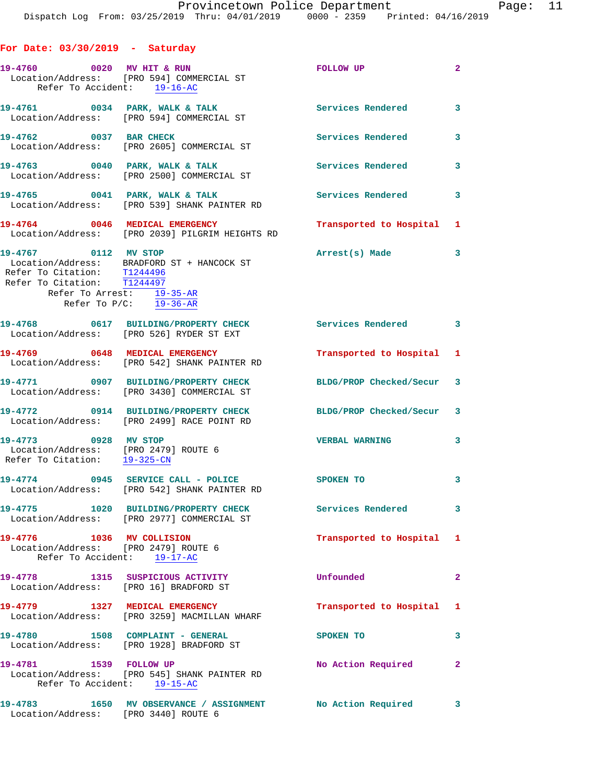| For Date: $03/30/2019$ - Saturday                                                                                |                                                                                      |                           |                         |
|------------------------------------------------------------------------------------------------------------------|--------------------------------------------------------------------------------------|---------------------------|-------------------------|
| 19-4760 0020 MV HIT & RUN<br>Refer To Accident: 19-16-AC                                                         | Location/Address: [PRO 594] COMMERCIAL ST                                            | FOLLOW UP                 | $\overline{\mathbf{2}}$ |
|                                                                                                                  | 19-4761 0034 PARK, WALK & TALK<br>Location/Address: [PRO 594] COMMERCIAL ST          | Services Rendered 3       |                         |
| 19-4762 0037 BAR CHECK                                                                                           | Location/Address: [PRO 2605] COMMERCIAL ST                                           | <b>Services Rendered</b>  | 3                       |
|                                                                                                                  | 19-4763 0040 PARK, WALK & TALK<br>Location/Address: [PRO 2500] COMMERCIAL ST         | <b>Services Rendered</b>  | $\overline{\mathbf{3}}$ |
|                                                                                                                  | 19-4765 0041 PARK, WALK & TALK<br>Location/Address: [PRO 539] SHANK PAINTER RD       | <b>Services Rendered</b>  | $\mathbf{3}$            |
|                                                                                                                  | 19-4764 0046 MEDICAL EMERGENCY<br>Location/Address: [PRO 2039] PILGRIM HEIGHTS RD    | Transported to Hospital 1 |                         |
| 19-4767 0112 MV STOP<br>Refer To Citation: T1244496<br>Refer To Citation: T1244497<br>Refer To Arrest: 19-35-AR  | Location/Address: BRADFORD ST + HANCOCK ST<br>Refer To $P/C$ : $\overline{19-36-AR}$ | Arrest(s) Made            | 3                       |
|                                                                                                                  | 19-4768 0617 BUILDING/PROPERTY CHECK<br>Location/Address: [PRO 526] RYDER ST EXT     | Services Rendered 3       |                         |
|                                                                                                                  | 19-4769 0648 MEDICAL EMERGENCY<br>Location/Address: [PRO 542] SHANK PAINTER RD       | Transported to Hospital 1 |                         |
|                                                                                                                  | 19-4771 0907 BUILDING/PROPERTY CHECK<br>Location/Address: [PRO 3430] COMMERCIAL ST   | BLDG/PROP Checked/Secur 3 |                         |
|                                                                                                                  | 19-4772 0914 BUILDING/PROPERTY CHECK<br>Location/Address: [PRO 2499] RACE POINT RD   | BLDG/PROP Checked/Secur 3 |                         |
| 19-4773 0928 MV STOP<br>Location/Address: [PRO 2479] ROUTE 6<br>Refer To Citation: $\frac{19-325-CN}{29-325-CN}$ |                                                                                      | VERBAL WARNING 3          |                         |
|                                                                                                                  | 19-4774 0945 SERVICE CALL - POLICE<br>Location/Address: [PRO 542] SHANK PAINTER RD   | SPOKEN TO                 | 3                       |
|                                                                                                                  | 19-4775 1020 BUILDING/PROPERTY CHECK<br>Location/Address: [PRO 2977] COMMERCIAL ST   | Services Rendered 3       |                         |
| 19-4776 1036 MV COLLISION<br>Location/Address: [PRO 2479] ROUTE 6<br>Refer To Accident: 19-17-AC                 |                                                                                      | Transported to Hospital 1 |                         |
| Location/Address: [PRO 16] BRADFORD ST                                                                           | 19-4778 1315 SUSPICIOUS ACTIVITY                                                     | Unfounded                 | $\mathbf{2}$            |
|                                                                                                                  | 19-4779 1327 MEDICAL EMERGENCY<br>Location/Address: [PRO 3259] MACMILLAN WHARF       | Transported to Hospital 1 |                         |
| 19-4780 1508 COMPLAINT - GENERAL                                                                                 | Location/Address: [PRO 1928] BRADFORD ST                                             | SPOKEN TO                 | 3                       |
| 19-4781 1539 FOLLOW UP<br>Refer To Accident: 19-15-AC                                                            | Location/Address: [PRO 545] SHANK PAINTER RD                                         | No Action Required        | $\mathbf{2}$            |
| Location/Address: [PRO 3440] ROUTE 6                                                                             | 19-4783 1650 MV OBSERVANCE / ASSIGNMENT No Action Required                           |                           | 3                       |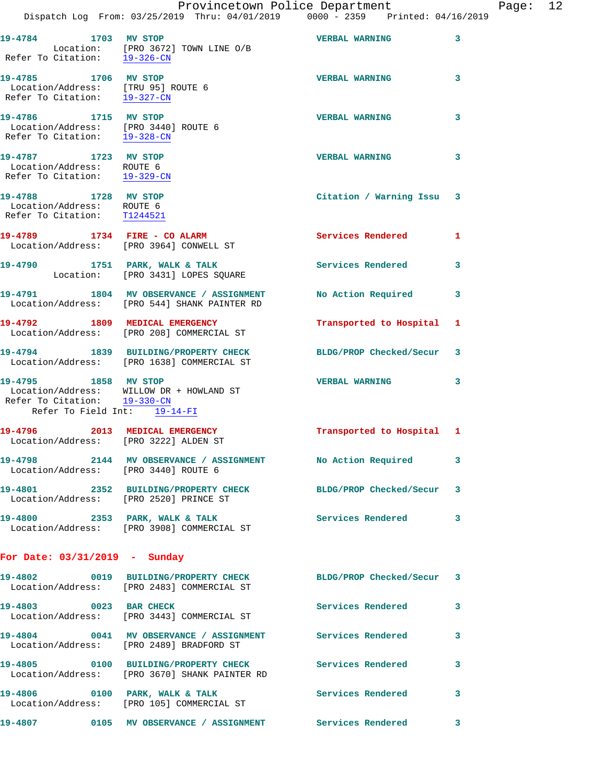|                                                                                              | Dispatch Log From: 03/25/2019 Thru: 04/01/2019 0000 - 2359 Printed: 04/16/2019                               | Provincetown Police Department |   | Page: 12 |  |
|----------------------------------------------------------------------------------------------|--------------------------------------------------------------------------------------------------------------|--------------------------------|---|----------|--|
|                                                                                              |                                                                                                              |                                |   |          |  |
| 19-4784 1703 MV STOP                                                                         | Location: [PRO 3672] TOWN LINE O/B<br>Refer To Citation: 19-326-CN                                           | <b>VERBAL WARNING</b>          | 3 |          |  |
| 19-4785 1706 MV STOP<br>Location/Address: [TRU 95] ROUTE 6<br>Refer To Citation: 19-327-CN   |                                                                                                              | <b>VERBAL WARNING</b>          | 3 |          |  |
| 19-4786 1715 MV STOP<br>Location/Address: [PRO 3440] ROUTE 6<br>Refer To Citation: 19-328-CN |                                                                                                              | <b>VERBAL WARNING</b>          | 3 |          |  |
| 19-4787 1723 MV STOP<br>Location/Address: ROUTE 6<br>Refer To Citation: 19-329-CN            |                                                                                                              | <b>VERBAL WARNING</b>          | 3 |          |  |
| 19-4788 1728 MV STOP<br>Location/Address: ROUTE 6<br>Refer To Citation: T1244521             |                                                                                                              | Citation / Warning Issu 3      |   |          |  |
|                                                                                              | 19-4789 1734 FIRE - CO ALARM<br>Location/Address: [PRO 3964] CONWELL ST                                      | <b>Services Rendered</b> 1     |   |          |  |
|                                                                                              | 19-4790 1751 PARK, WALK & TALK<br>Location: [PRO 3431] LOPES SQUARE                                          | Services Rendered              | 3 |          |  |
|                                                                                              | 19-4791 1804 MV OBSERVANCE / ASSIGNMENT<br>Location/Address: [PRO 544] SHANK PAINTER RD                      | No Action Required 3           |   |          |  |
|                                                                                              | 19-4792 1809 MEDICAL EMERGENCY<br>Location/Address: [PRO 208] COMMERCIAL ST                                  | Transported to Hospital 1      |   |          |  |
|                                                                                              | 19-4794 1839 BUILDING/PROPERTY CHECK BLDG/PROP Checked/Secur 3<br>Location/Address: [PRO 1638] COMMERCIAL ST |                                |   |          |  |
| Refer To Citation: 19-330-CN<br>Refer To Field Int: 19-14-FI                                 | 19-4795 1858 MV STOP<br>Location/Address: WILLOW DR + HOWLAND ST                                             | <b>VERBAL WARNING</b>          | 3 |          |  |
| Location/Address: [PRO 3222] ALDEN ST                                                        | 19-4796 2013 MEDICAL EMERGENCY                                                                               | Transported to Hospital 1      |   |          |  |
| Location/Address: [PRO 3440] ROUTE 6                                                         | 19-4798 2144 MV OBSERVANCE / ASSIGNMENT No Action Required                                                   |                                | 3 |          |  |
|                                                                                              | 19-4801 2352 BUILDING/PROPERTY CHECK BLDG/PROP Checked/Secur 3<br>Location/Address: [PRO 2520] PRINCE ST     |                                |   |          |  |
|                                                                                              | 19-4800 2353 PARK, WALK & TALK Services Rendered<br>Location/Address: [PRO 3908] COMMERCIAL ST               |                                | 3 |          |  |
| For Date: 03/31/2019 - Sunday                                                                |                                                                                                              |                                |   |          |  |
|                                                                                              | 19-4802 0019 BUILDING/PROPERTY CHECK BLDG/PROP Checked/Secur 3<br>Location/Address: [PRO 2483] COMMERCIAL ST |                                |   |          |  |
| 19-4803 0023 BAR CHECK                                                                       | Location/Address: [PRO 3443] COMMERCIAL ST                                                                   | Services Rendered              | 3 |          |  |
|                                                                                              | 19-4804 0041 MV OBSERVANCE / ASSIGNMENT Services Rendered<br>Location/Address: [PRO 2489] BRADFORD ST        |                                | 3 |          |  |
|                                                                                              | 19-4805 0100 BUILDING/PROPERTY CHECK Services Rendered<br>Location/Address: [PRO 3670] SHANK PAINTER RD      |                                | 3 |          |  |
|                                                                                              | 19-4806 0100 PARK, WALK & TALK<br>Location/Address: [PRO 105] COMMERCIAL ST                                  | <b>Services Rendered</b>       | 3 |          |  |
|                                                                                              | 19-4807 0105 MV OBSERVANCE / ASSIGNMENT Services Rendered                                                    |                                | 3 |          |  |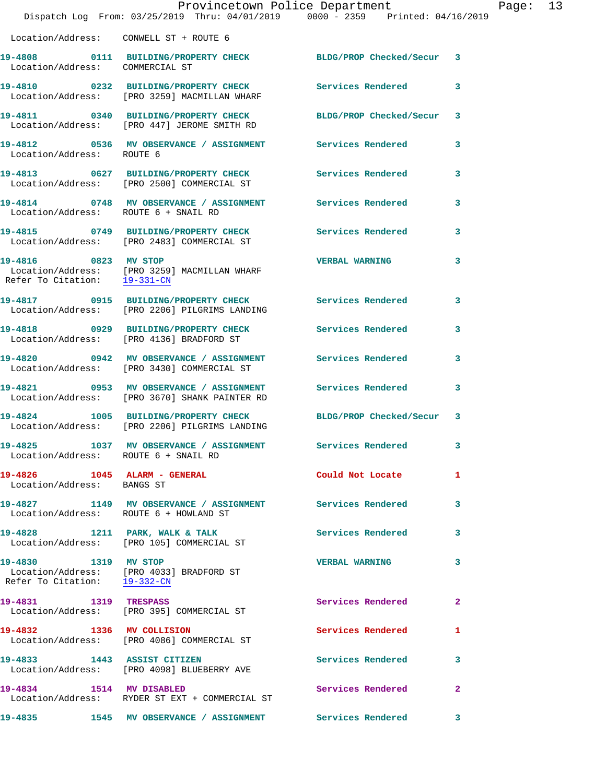|                                                            | Dispatch Log From: 03/25/2019 Thru: 04/01/2019 0000 - 2359 Printed: 04/16/2019                                        | Provincetown Police Department |              | Page: 13 |  |
|------------------------------------------------------------|-----------------------------------------------------------------------------------------------------------------------|--------------------------------|--------------|----------|--|
| Location/Address: CONWELL ST + ROUTE 6                     |                                                                                                                       |                                |              |          |  |
| Location/Address: COMMERCIAL ST                            | 19-4808 0111 BUILDING/PROPERTY CHECK BLDG/PROP Checked/Secur 3                                                        |                                |              |          |  |
|                                                            | 19-4810 0232 BUILDING/PROPERTY CHECK Services Rendered 3<br>Location/Address: [PRO 3259] MACMILLAN WHARF              |                                |              |          |  |
|                                                            | 19-4811 0340 BUILDING/PROPERTY CHECK BLDG/PROP Checked/Secur 3<br>Location/Address: [PRO 447] JEROME SMITH RD         |                                |              |          |  |
| Location/Address: ROUTE 6                                  | 19-4812 0536 MV OBSERVANCE / ASSIGNMENT Services Rendered 3                                                           |                                |              |          |  |
|                                                            | 19-4813 0627 BUILDING/PROPERTY CHECK Services Rendered 3<br>Location/Address: [PRO 2500] COMMERCIAL ST                |                                |              |          |  |
| Location/Address: ROUTE 6 + SNAIL RD                       | 19-4814 0748 MV OBSERVANCE / ASSIGNMENT Services Rendered                                                             |                                | 3            |          |  |
|                                                            | 19-4815 0749 BUILDING/PROPERTY CHECK Services Rendered 3<br>Location/Address: [PRO 2483] COMMERCIAL ST                |                                |              |          |  |
| Refer To Citation: 19-331-CN                               | 19-4816 0823 MV STOP<br>Location/Address: [PRO 3259] MACMILLAN WHARF                                                  | <b>VERBAL WARNING</b>          | 3            |          |  |
|                                                            | 19-4817 0915 BUILDING/PROPERTY CHECK Services Rendered 3<br>Location/Address: [PRO 2206] PILGRIMS LANDING             |                                |              |          |  |
|                                                            | 19-4818 0929 BUILDING/PROPERTY CHECK<br>Location/Address: [PRO 4136] BRADFORD ST                                      | Services Rendered              | 3            |          |  |
|                                                            | 19-4820 0942 MV OBSERVANCE / ASSIGNMENT Services Rendered 3<br>Location/Address: [PRO 3430] COMMERCIAL ST             |                                |              |          |  |
|                                                            | 19-4821     0953 MV OBSERVANCE / ASSIGNMENT      Services Rendered<br>Location/Address:   [PRO 3670] SHANK PAINTER RD |                                | 3            |          |  |
|                                                            | 19-4824 1005 BUILDING/PROPERTY CHECK BLDG/PROP Checked/Secur 3<br>Location/Address: [PRO 2206] PILGRIMS LANDING       |                                |              |          |  |
| Location/Address: ROUTE 6 + SNAIL RD                       | 19-4825 1037 MV OBSERVANCE / ASSIGNMENT Services Rendered                                                             |                                | 3            |          |  |
| 19-4826 1045 ALARM - GENERAL<br>Location/Address: BANGS ST |                                                                                                                       | Could Not Locate               | 1            |          |  |
| Location/Address: ROUTE 6 + HOWLAND ST                     | 19-4827 1149 MV OBSERVANCE / ASSIGNMENT Services Rendered                                                             |                                | 3            |          |  |
|                                                            | 19-4828 1211 PARK, WALK & TALK<br>Location/Address: [PRO 105] COMMERCIAL ST                                           | <b>Services Rendered</b> 3     |              |          |  |
|                                                            | 19-4830 1319 MV STOP<br>Location/Address: [PRO 4033] BRADFORD ST<br>Refer To Citation: 19-332-CN                      | <b>VERBAL WARNING</b>          | 3            |          |  |
| 19-4831 1319 TRESPASS                                      | Location/Address: [PRO 395] COMMERCIAL ST                                                                             | Services Rendered              | $\mathbf{2}$ |          |  |
|                                                            | 19-4832 1336 MV COLLISION<br>Location/Address: [PRO 4086] COMMERCIAL ST                                               | Services Rendered              | 1            |          |  |
|                                                            | 19-4833 1443 ASSIST CITIZEN<br>Location/Address: [PRO 4098] BLUEBERRY AVE                                             | Services Rendered              | 3            |          |  |
|                                                            | 19-4834 1514 MV DISABLED<br>Location/Address: RYDER ST EXT + COMMERCIAL ST                                            | Services Rendered              | $\mathbf{2}$ |          |  |
|                                                            | 19-4835               1545    MV OBSERVANCE  / ASSIGNMENT              Services Rendered              3               |                                |              |          |  |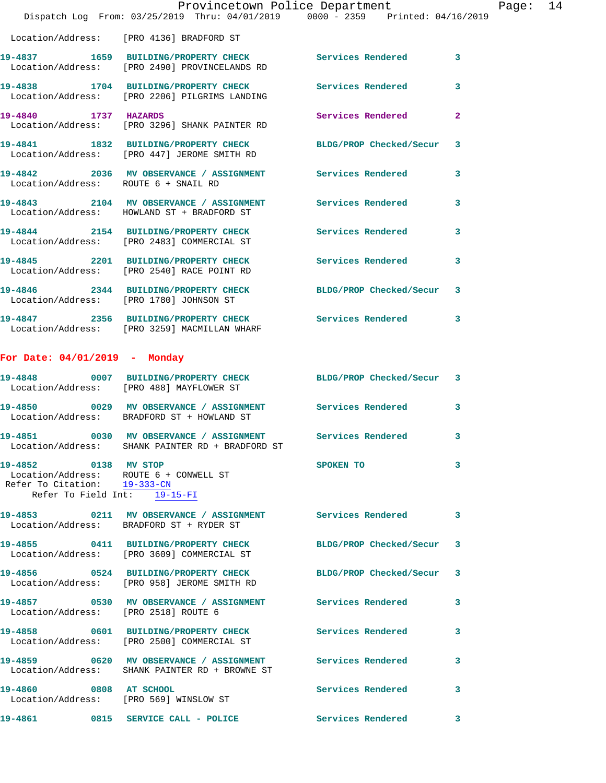|                                      | Provincetown Police Department<br>Dispatch Log From: 03/25/2019 Thru: 04/01/2019 0000 - 2359 Printed: 04/16/2019 |                          |              |
|--------------------------------------|------------------------------------------------------------------------------------------------------------------|--------------------------|--------------|
|                                      | Location/Address: [PRO 4136] BRADFORD ST                                                                         |                          |              |
|                                      | 19-4837 1659 BUILDING/PROPERTY CHECK Services Rendered<br>Location/Address: [PRO 2490] PROVINCELANDS RD          |                          | 3            |
|                                      | 19-4838 1704 BUILDING/PROPERTY CHECK Services Rendered<br>Location/Address: [PRO 2206] PILGRIMS LANDING          |                          | 3            |
| 19-4840 1737 HAZARDS                 | Location/Address: [PRO 3296] SHANK PAINTER RD                                                                    | Services Rendered        | $\mathbf{2}$ |
|                                      | 19-4841 1832 BUILDING/PROPERTY CHECK BLDG/PROP Checked/Secur<br>Location/Address: [PRO 447] JEROME SMITH RD      |                          | 3            |
|                                      | 19-4842 2036 MV OBSERVANCE / ASSIGNMENT Services Rendered<br>Location/Address: ROUTE 6 + SNAIL RD                |                          | 3            |
|                                      | 19-4843 2104 MV OBSERVANCE / ASSIGNMENT Services Rendered<br>Location/Address: HOWLAND ST + BRADFORD ST          |                          | 3            |
|                                      | 19-4844 2154 BUILDING/PROPERTY CHECK<br>Location/Address: [PRO 2483] COMMERCIAL ST                               | <b>Services Rendered</b> | 3            |
|                                      | 19-4845 2201 BUILDING/PROPERTY CHECK<br>Location/Address: [PRO 2540] RACE POINT RD                               | Services Rendered        | 3            |
|                                      | 19-4846 2344 BUILDING/PROPERTY CHECK<br>Location/Address: [PRO 1780] JOHNSON ST                                  | BLDG/PROP Checked/Secur  | 3            |
|                                      | 19-4847 2356 BUILDING/PROPERTY CHECK Services Rendered<br>Location/Address: [PRO 3259] MACMILLAN WHARF           |                          | 3            |
| For Date: $04/01/2019$ - Monday      |                                                                                                                  |                          |              |
|                                      | 19-4848 0007 BUILDING/PROPERTY CHECK BLDG/PROP Checked/Secur 3<br>Location/Address: [PRO 488] MAYFLOWER ST       |                          |              |
|                                      | 19-4850 0029 MV OBSERVANCE / ASSIGNMENT Services Rendered<br>Location/Address: BRADFORD ST + HOWLAND ST          |                          | 3            |
|                                      | Location/Address: SHANK PAINTER RD + BRADFORD ST                                                                 |                          |              |
| 19-4852 0138 MV STOP                 | Location/Address: ROUTE 6 + CONWELL ST<br>Refer To Citation: 19-333-CN<br>Refer To Field Int: 19-15-FI           | SPOKEN TO                | 3            |
|                                      | 19-4853 0211 MV OBSERVANCE / ASSIGNMENT Services Rendered<br>Location/Address: BRADFORD ST + RYDER ST            |                          | 3            |
|                                      | 19-4855 0411 BUILDING/PROPERTY CHECK<br>Location/Address: [PRO 3609] COMMERCIAL ST                               | BLDG/PROP Checked/Secur  | 3            |
|                                      | 19-4856 0524 BUILDING/PROPERTY CHECK BLDG/PROP Checked/Secur<br>Location/Address: [PRO 958] JEROME SMITH RD      |                          | 3            |
| Location/Address: [PRO 2518] ROUTE 6 | 19-4857 0530 MV OBSERVANCE / ASSIGNMENT Services Rendered                                                        |                          | 3            |
|                                      | 19-4858 0601 BUILDING/PROPERTY CHECK Services Rendered<br>Location/Address: [PRO 2500] COMMERCIAL ST             |                          | 3            |
|                                      | 19-4859 0620 MV OBSERVANCE / ASSIGNMENT Services Rendered<br>Location/Address: SHANK PAINTER RD + BROWNE ST      |                          | 3            |
| 19-4860 0808 AT SCHOOL               | Location/Address: [PRO 569] WINSLOW ST                                                                           | Services Rendered        | 3            |
|                                      | 19-4861 0815 SERVICE CALL - POLICE                                                                               | <b>Services Rendered</b> | 3            |

Page:  $14$ <br>19